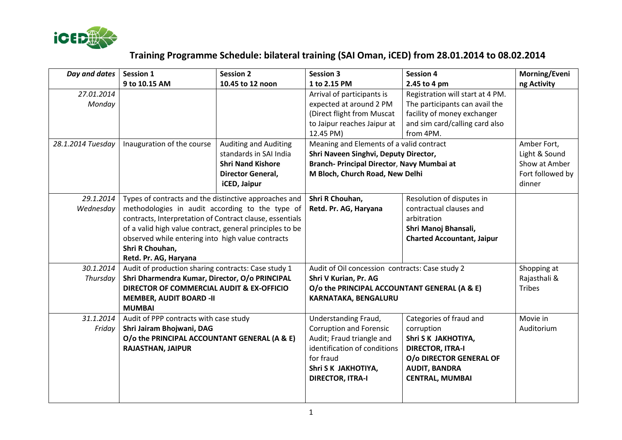

## **Training Programme Schedule: bilateral training (SAI Oman, iCED) from 28.01.2014 to 08.02.2014**

| Day and dates     | <b>Session 1</b>                                                         | <b>Session 2</b>             | <b>Session 3</b>                                | <b>Session 4</b>                  | Morning/Eveni    |
|-------------------|--------------------------------------------------------------------------|------------------------------|-------------------------------------------------|-----------------------------------|------------------|
|                   | 9 to 10.15 AM                                                            | 10.45 to 12 noon             | 1 to 2.15 PM                                    | 2.45 to 4 pm                      | ng Activity      |
| 27.01.2014        |                                                                          |                              | Arrival of participants is                      | Registration will start at 4 PM.  |                  |
| Monday            |                                                                          |                              | expected at around 2 PM                         | The participants can avail the    |                  |
|                   |                                                                          |                              | (Direct flight from Muscat                      | facility of money exchanger       |                  |
|                   |                                                                          |                              | to Jaipur reaches Jaipur at                     | and sim card/calling card also    |                  |
|                   |                                                                          |                              | 12.45 PM)                                       | from 4PM.                         |                  |
| 28.1.2014 Tuesday | Inauguration of the course                                               | <b>Auditing and Auditing</b> | Meaning and Elements of a valid contract        |                                   | Amber Fort,      |
|                   |                                                                          | standards in SAI India       | Shri Naveen Singhvi, Deputy Director,           |                                   | Light & Sound    |
|                   |                                                                          | <b>Shri Nand Kishore</b>     | Branch- Principal Director, Navy Mumbai at      |                                   | Show at Amber    |
|                   |                                                                          | Director General,            | M Bloch, Church Road, New Delhi                 |                                   | Fort followed by |
|                   |                                                                          | iCED, Jaipur                 |                                                 |                                   | dinner           |
| 29.1.2014         | Types of contracts and the distinctive approaches and                    |                              | Shri R Chouhan,                                 | Resolution of disputes in         |                  |
| Wednesday         | methodologies in audit according to the type of                          |                              | Retd. Pr. AG, Haryana                           | contractual clauses and           |                  |
|                   | contracts, Interpretation of Contract clause, essentials                 |                              |                                                 | arbitration                       |                  |
|                   | of a valid high value contract, general principles to be                 |                              |                                                 | Shri Manoj Bhansali,              |                  |
|                   | observed while entering into high value contracts                        |                              |                                                 | <b>Charted Accountant, Jaipur</b> |                  |
|                   | Shri R Chouhan,                                                          |                              |                                                 |                                   |                  |
|                   | Retd. Pr. AG, Haryana                                                    |                              |                                                 |                                   |                  |
| 30.1.2014         | Audit of production sharing contracts: Case study 1                      |                              | Audit of Oil concession contracts: Case study 2 |                                   | Shopping at      |
| Thursday          | Shri Dharmendra Kumar, Director, O/o PRINCIPAL                           |                              | Shri V Kurian, Pr. AG                           |                                   | Rajasthali &     |
|                   | DIRECTOR OF COMMERCIAL AUDIT & EX-OFFICIO                                |                              | O/o the PRINCIPAL ACCOUNTANT GENERAL (A & E)    |                                   | <b>Tribes</b>    |
|                   | <b>MEMBER, AUDIT BOARD -II</b>                                           |                              | KARNATAKA, BENGALURU                            |                                   |                  |
|                   | <b>MUMBAI</b>                                                            |                              |                                                 |                                   |                  |
| 31.1.2014         | Audit of PPP contracts with case study                                   |                              | Understanding Fraud,                            | Categories of fraud and           | Movie in         |
| Friday            | Shri Jairam Bhojwani, DAG                                                |                              | <b>Corruption and Forensic</b>                  | corruption                        | Auditorium       |
|                   | O/o the PRINCIPAL ACCOUNTANT GENERAL (A & E)<br><b>RAJASTHAN, JAIPUR</b> |                              | Audit; Fraud triangle and                       | Shri S K JAKHOTIYA,               |                  |
|                   |                                                                          |                              | identification of conditions                    | <b>DIRECTOR, ITRA-I</b>           |                  |
|                   |                                                                          |                              | for fraud                                       | O/o DIRECTOR GENERAL OF           |                  |
|                   |                                                                          |                              | Shri S K JAKHOTIYA,                             | <b>AUDIT, BANDRA</b>              |                  |
|                   |                                                                          |                              | <b>DIRECTOR, ITRA-I</b>                         | <b>CENTRAL, MUMBAI</b>            |                  |
|                   |                                                                          |                              |                                                 |                                   |                  |
|                   |                                                                          |                              |                                                 |                                   |                  |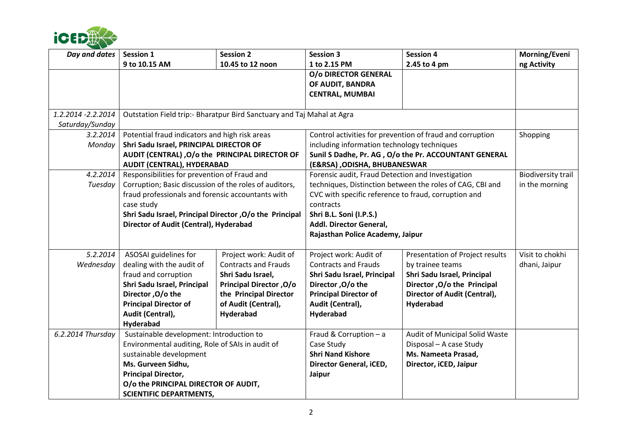

| Day and dates       | <b>Session 1</b>                                                       | <b>Session 2</b>               | <b>Session 3</b>                                          | <b>Session 4</b>                                          | Morning/Eveni                               |  |
|---------------------|------------------------------------------------------------------------|--------------------------------|-----------------------------------------------------------|-----------------------------------------------------------|---------------------------------------------|--|
|                     | 9 to 10.15 AM                                                          | 10.45 to 12 noon               | 1 to 2.15 PM                                              | 2.45 to 4 pm                                              | ng Activity                                 |  |
|                     |                                                                        |                                | O/o DIRECTOR GENERAL                                      |                                                           |                                             |  |
|                     |                                                                        |                                | OF AUDIT, BANDRA                                          |                                                           |                                             |  |
|                     |                                                                        |                                | <b>CENTRAL, MUMBAI</b>                                    |                                                           |                                             |  |
|                     |                                                                        |                                |                                                           |                                                           |                                             |  |
| 1.2.2014 - 2.2.2014 | Outstation Field trip:- Bharatpur Bird Sanctuary and Taj Mahal at Agra |                                |                                                           |                                                           |                                             |  |
| Saturday/Sunday     |                                                                        |                                |                                                           |                                                           |                                             |  |
| 3.2.2014            | Potential fraud indicators and high risk areas                         |                                | Control activities for prevention of fraud and corruption |                                                           | Shopping                                    |  |
| Monday              | Shri Sadu Israel, PRINCIPAL DIRECTOR OF                                |                                | including information technology techniques               |                                                           |                                             |  |
|                     | AUDIT (CENTRAL) , O/o the PRINCIPAL DIRECTOR OF                        |                                | Sunil S Dadhe, Pr. AG, O/o the Pr. ACCOUNTANT GENERAL     |                                                           |                                             |  |
|                     | <b>AUDIT (CENTRAL), HYDERABAD</b>                                      |                                | (E&RSA), ODISHA, BHUBANESWAR                              |                                                           |                                             |  |
| 4.2.2014            | Responsibilities for prevention of Fraud and                           |                                | Forensic audit, Fraud Detection and Investigation         |                                                           | <b>Biodiversity trail</b><br>in the morning |  |
| Tuesday             | Corruption; Basic discussion of the roles of auditors,                 |                                |                                                           | techniques, Distinction between the roles of CAG, CBI and |                                             |  |
|                     | fraud professionals and forensic accountants with                      |                                | CVC with specific reference to fraud, corruption and      |                                                           |                                             |  |
|                     | case study                                                             |                                | contracts                                                 |                                                           |                                             |  |
|                     | Shri Sadu Israel, Principal Director, O/o the Principal                |                                | Shri B.L. Soni (I.P.S.)                                   |                                                           |                                             |  |
|                     | Director of Audit (Central), Hyderabad                                 |                                | Addl. Director General,                                   |                                                           |                                             |  |
|                     |                                                                        |                                | Rajasthan Police Academy, Jaipur                          |                                                           |                                             |  |
| 5.2.2014            | ASOSAI guidelines for                                                  | Project work: Audit of         | Project work: Audit of                                    | Presentation of Project results                           | Visit to chokhi                             |  |
| Wednesday           | dealing with the audit of                                              | <b>Contracts and Frauds</b>    | <b>Contracts and Frauds</b>                               | by trainee teams                                          | dhani, Jaipur                               |  |
|                     | fraud and corruption                                                   | Shri Sadu Israel,              | Shri Sadu Israel, Principal                               | Shri Sadu Israel, Principal                               |                                             |  |
|                     | Shri Sadu Israel, Principal                                            | <b>Principal Director, O/o</b> | Director, O/o the                                         | Director, O/o the Principal                               |                                             |  |
|                     | Director, O/o the                                                      | the Principal Director         | <b>Principal Director of</b>                              | Director of Audit (Central),                              |                                             |  |
|                     | <b>Principal Director of</b>                                           | of Audit (Central),            | Audit (Central),                                          | Hyderabad                                                 |                                             |  |
|                     | Audit (Central),                                                       | Hyderabad                      | Hyderabad                                                 |                                                           |                                             |  |
|                     | Hyderabad                                                              |                                |                                                           |                                                           |                                             |  |
| 6.2.2014 Thursday   | Sustainable development: Introduction to                               |                                | Fraud & Corruption - a                                    | Audit of Municipal Solid Waste                            |                                             |  |
|                     | Environmental auditing, Role of SAIs in audit of                       |                                | Case Study                                                | Disposal - A case Study                                   |                                             |  |
|                     | sustainable development                                                |                                | <b>Shri Nand Kishore</b>                                  | Ms. Nameeta Prasad,                                       |                                             |  |
|                     | Ms. Gurveen Sidhu,                                                     |                                | Director General, iCED,                                   | Director, iCED, Jaipur                                    |                                             |  |
|                     | <b>Principal Director,</b>                                             |                                | Jaipur                                                    |                                                           |                                             |  |
|                     | O/o the PRINCIPAL DIRECTOR OF AUDIT,                                   |                                |                                                           |                                                           |                                             |  |
|                     | <b>SCIENTIFIC DEPARTMENTS,</b>                                         |                                |                                                           |                                                           |                                             |  |